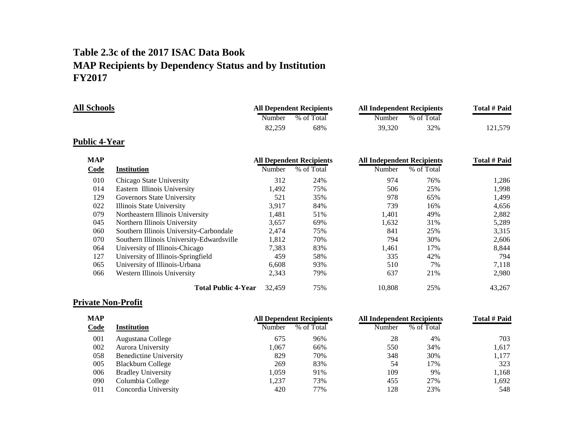# **Table 2.3c of the 2017 ISAC Data Book MAP Recipients by Dependency Status and by Institution FY2017**

| <b>All Schools</b> |        | <b>All Dependent Recipients</b> | <b>All Independent Recipients</b> |            | Total # Paid |
|--------------------|--------|---------------------------------|-----------------------------------|------------|--------------|
|                    | Number | % of Total                      | Number                            | % of Total |              |
|                    | 82.259 | 68%                             | 39.320                            | 32%        | 121.579      |

#### **Public 4-Year**

| <b>MAP</b> |                                           |        | <b>All Dependent Recipients</b> | <b>All Independent Recipients</b> | <b>Total # Paid</b> |        |
|------------|-------------------------------------------|--------|---------------------------------|-----------------------------------|---------------------|--------|
| Code       | <b>Institution</b>                        | Number | % of Total                      | Number                            | % of Total          |        |
| 010        | Chicago State University                  | 312    | 24%                             | 974                               | 76%                 | 1,286  |
| 014        | Eastern Illinois University               | 1.492  | 75%                             | 506                               | 25%                 | 1.998  |
| 129        | Governors State University                | 521    | 35%                             | 978                               | 65%                 | 1,499  |
| 022        | Illinois State University                 | 3,917  | 84%                             | 739                               | 16%                 | 4,656  |
| 079        | Northeastern Illinois University          | 1,481  | 51%                             | 1,401                             | 49%                 | 2,882  |
| 045        | Northern Illinois University              | 3,657  | 69%                             | 1,632                             | 31%                 | 5,289  |
| 060        | Southern Illinois University-Carbondale   | 2,474  | 75%                             | 841                               | 25%                 | 3,315  |
| 070        | Southern Illinois University-Edwardsville | 1,812  | 70%                             | 794                               | 30%                 | 2.606  |
| 064        | University of Illinois-Chicago            | 7,383  | 83%                             | 1,461                             | 17%                 | 8,844  |
| 127        | University of Illinois-Springfield        | 459    | 58%                             | 335                               | 42%                 | 794    |
| 065        | University of Illinois-Urbana             | 6,608  | 93%                             | 510                               | 7%                  | 7,118  |
| 066        | Western Illinois University               | 2,343  | 79%                             | 637                               | 21%                 | 2,980  |
|            | <b>Total Public 4-Year</b>                | 32,459 | 75%                             | 10.808                            | 25%                 | 43,267 |

## **Private Non-Profit**

| <b>MAP</b> |                               | <b>All Dependent Recipients</b> |            | <b>All Independent Recipients</b> | Total # Paid |       |
|------------|-------------------------------|---------------------------------|------------|-----------------------------------|--------------|-------|
| Code       | <b>Institution</b>            | Number                          | % of Total | Number                            | % of Total   |       |
| 001        | Augustana College             | 675                             | 96%        | 28                                | 4%           | 703   |
| 002        | Aurora University             | .067                            | 66%        | 550                               | 34%          | 1,617 |
| 058        | <b>Benedictine University</b> | 829                             | 70%        | 348                               | 30%          | 1,177 |
| 005        | <b>Blackburn College</b>      | 269                             | 83%        | 54                                | 17%          | 323   |
| 006        | <b>Bradley University</b>     | .059                            | 91%        | 109                               | 9%           | 1.168 |
| 090        | Columbia College              | .237                            | 73%        | 455                               | 27%          | 1.692 |
| 011        | Concordia University          | 420                             | 77%        | 128                               | 23%          | 548   |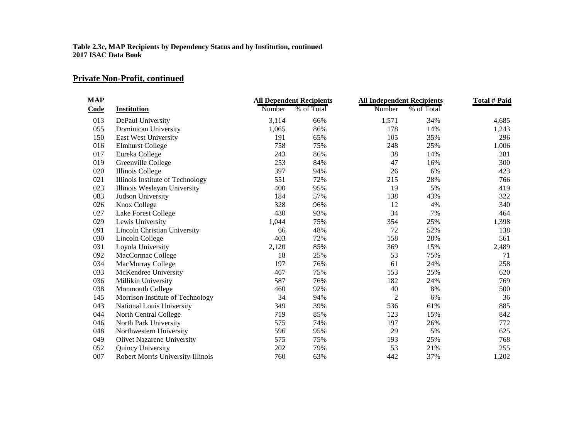### **Private Non-Profit, continued**

| <b>MAP</b> |                                     |        | <b>All Dependent Recipients</b> |                | <b>All Independent Recipients</b> |       |  |
|------------|-------------------------------------|--------|---------------------------------|----------------|-----------------------------------|-------|--|
| Code       | <b>Institution</b>                  | Number | % of Total                      | Number         | % of Total                        |       |  |
| 013        | DePaul University                   | 3,114  | 66%                             | 1,571          | 34%                               | 4,685 |  |
| 055        | Dominican University                | 1,065  | 86%                             | 178            | 14%                               | 1,243 |  |
| 150        | East West University                | 191    | 65%                             | 105            | 35%                               | 296   |  |
| 016        | <b>Elmhurst College</b>             | 758    | 75%                             | 248            | 25%                               | 1,006 |  |
| 017        | Eureka College                      | 243    | 86%                             | 38             | 14%                               | 281   |  |
| 019        | Greenville College                  | 253    | 84%                             | 47             | 16%                               | 300   |  |
| 020        | Illinois College                    | 397    | 94%                             | 26             | 6%                                | 423   |  |
| 021        | Illinois Institute of Technology    | 551    | 72%                             | 215            | 28%                               | 766   |  |
| 023        | Illinois Wesleyan University        | 400    | 95%                             | 19             | 5%                                | 419   |  |
| 083        | Judson University                   | 184    | 57%                             | 138            | 43%                               | 322   |  |
| 026        | Knox College                        | 328    | 96%                             | 12             | 4%                                | 340   |  |
| 027        | Lake Forest College                 | 430    | 93%                             | 34             | 7%                                | 464   |  |
| 029        | Lewis University                    | 1,044  | 75%                             | 354            | 25%                               | 1,398 |  |
| 091        | <b>Lincoln Christian University</b> | 66     | 48%                             | 72             | 52%                               | 138   |  |
| 030        | Lincoln College                     | 403    | 72%                             | 158            | 28%                               | 561   |  |
| 031        | Loyola University                   | 2,120  | 85%                             | 369            | 15%                               | 2,489 |  |
| 092        | MacCormac College                   | 18     | 25%                             | 53             | 75%                               | 71    |  |
| 034        | MacMurray College                   | 197    | 76%                             | 61             | 24%                               | 258   |  |
| 033        | McKendree University                | 467    | 75%                             | 153            | 25%                               | 620   |  |
| 036        | Millikin University                 | 587    | 76%                             | 182            | 24%                               | 769   |  |
| 038        | Monmouth College                    | 460    | 92%                             | 40             | 8%                                | 500   |  |
| 145        | Morrison Institute of Technology    | 34     | 94%                             | $\overline{2}$ | 6%                                | 36    |  |
| 043        | National Louis University           | 349    | 39%                             | 536            | 61%                               | 885   |  |
| 044        | North Central College               | 719    | 85%                             | 123            | 15%                               | 842   |  |
| 046        | North Park University               | 575    | 74%                             | 197            | 26%                               | 772   |  |
| 048        | Northwestern University             | 596    | 95%                             | 29             | 5%                                | 625   |  |
| 049        | <b>Olivet Nazarene University</b>   | 575    | 75%                             | 193            | 25%                               | 768   |  |
| 052        | Quincy University                   | 202    | 79%                             | 53             | 21%                               | 255   |  |
| 007        | Robert Morris University-Illinois   | 760    | 63%                             | 442            | 37%                               | 1,202 |  |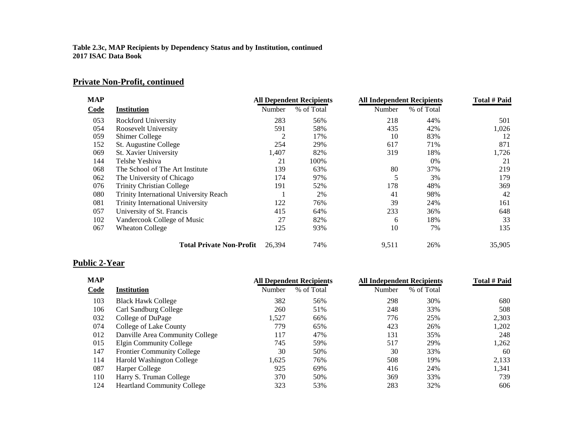### **Private Non-Profit, continued**

| <b>MAP</b> |                                         | <b>All Dependent Recipients</b> |            | <b>All Independent Recipients</b> |            | Total # Paid |
|------------|-----------------------------------------|---------------------------------|------------|-----------------------------------|------------|--------------|
| Code       | <b>Institution</b>                      | Number                          | % of Total | Number                            | % of Total |              |
| 053        | <b>Rockford University</b>              | 283                             | 56%        | 218                               | 44%        | 501          |
| 054        | Roosevelt University                    | 591                             | 58%        | 435                               | 42%        | 1,026        |
| 059        | <b>Shimer College</b>                   | 2                               | 17%        | 10                                | 83%        | 12           |
| 152        | St. Augustine College                   | 254                             | 29%        | 617                               | 71%        | 871          |
| 069        | St. Xavier University                   | 1,407                           | 82%        | 319                               | 18%        | 1,726        |
| 144        | Telshe Yeshiva                          | 21                              | 100%       |                                   | $0\%$      | 21           |
| 068        | The School of The Art Institute         | 139                             | 63%        | 80                                | 37%        | 219          |
| 062        | The University of Chicago               | 174                             | 97%        | 5                                 | 3%         | 179          |
| 076        | <b>Trinity Christian College</b>        | 191                             | 52%        | 178                               | 48%        | 369          |
| 080        | Trinity International University Reach  |                                 | 2%         | 41                                | 98%        | 42           |
| 081        | <b>Trinity International University</b> | 122                             | 76%        | 39                                | 24%        | 161          |
| 057        | University of St. Francis               | 415                             | 64%        | 233                               | 36%        | 648          |
| 102        | Vandercook College of Music             | 27                              | 82%        | 6                                 | 18%        | 33           |
| 067        | <b>Wheaton College</b>                  | 125                             | 93%        | 10                                | 7%         | 135          |
|            | <b>Total Private Non-Profit</b>         | 26.394                          | 74%        | 9,511                             | 26%        | 35,905       |

## **Public 2-Year**

| <b>MAP</b> |                                    | <b>All Dependent Recipients</b> |            | <b>All Independent Recipients</b> | <b>Total # Paid</b> |       |
|------------|------------------------------------|---------------------------------|------------|-----------------------------------|---------------------|-------|
| Code       | Institution                        | Number                          | % of Total | Number                            | % of Total          |       |
| 103        | <b>Black Hawk College</b>          | 382                             | 56%        | 298                               | 30%                 | 680   |
| 106        | Carl Sandburg College              | 260                             | 51%        | 248                               | 33%                 | 508   |
| 032        | College of DuPage                  | 1,527                           | 66%        | 776                               | 25%                 | 2,303 |
| 074        | College of Lake County             | 779                             | 65%        | 423                               | 26%                 | 1,202 |
| 012        | Danville Area Community College    | 117                             | 47%        | 131                               | 35%                 | 248   |
| 015        | Elgin Community College            | 745                             | 59%        | 517                               | 29%                 | 1,262 |
| 147        | <b>Frontier Community College</b>  | 30                              | 50%        | 30                                | 33%                 | 60    |
| 114        | <b>Harold Washington College</b>   | 1,625                           | 76%        | 508                               | 19%                 | 2,133 |
| 087        | Harper College                     | 925                             | 69%        | 416                               | 24%                 | 1,341 |
| 110        | Harry S. Truman College            | 370                             | 50%        | 369                               | 33%                 | 739   |
| 124        | <b>Heartland Community College</b> | 323                             | 53%        | 283                               | 32%                 | 606   |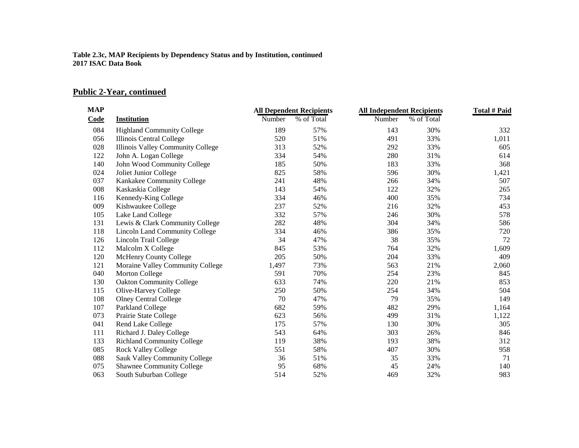### **Public 2-Year, continued**

| <b>MAP</b> |                                       |        | <b>All Dependent Recipients</b> | <b>All Independent Recipients</b> |            | <b>Total # Paid</b> |
|------------|---------------------------------------|--------|---------------------------------|-----------------------------------|------------|---------------------|
| Code       | <b>Institution</b>                    | Number | % of Total                      | Number                            | % of Total |                     |
| 084        | <b>Highland Community College</b>     | 189    | 57%                             | 143                               | 30%        | 332                 |
| 056        | Illinois Central College              | 520    | 51%                             | 491                               | 33%        | 1,011               |
| 028        | Illinois Valley Community College     | 313    | 52%                             | 292                               | 33%        | 605                 |
| 122        | John A. Logan College                 | 334    | 54%                             | 280                               | 31%        | 614                 |
| 140        | John Wood Community College           | 185    | 50%                             | 183                               | 33%        | 368                 |
| 024        | Joliet Junior College                 | 825    | 58%                             | 596                               | 30%        | 1,421               |
| 037        | Kankakee Community College            | 241    | 48%                             | 266                               | 34%        | 507                 |
| 008        | Kaskaskia College                     | 143    | 54%                             | 122                               | 32%        | 265                 |
| 116        | Kennedy-King College                  | 334    | 46%                             | 400                               | 35%        | 734                 |
| 009        | Kishwaukee College                    | 237    | 52%                             | 216                               | 32%        | 453                 |
| 105        | Lake Land College                     | 332    | 57%                             | 246                               | 30%        | 578                 |
| 131        | Lewis & Clark Community College       | 282    | 48%                             | 304                               | 34%        | 586                 |
| 118        | <b>Lincoln Land Community College</b> | 334    | 46%                             | 386                               | 35%        | 720                 |
| 126        | Lincoln Trail College                 | 34     | 47%                             | 38                                | 35%        | 72                  |
| 112        | Malcolm X College                     | 845    | 53%                             | 764                               | 32%        | 1,609               |
| 120        | <b>McHenry County College</b>         | 205    | 50%                             | 204                               | 33%        | 409                 |
| 121        | Moraine Valley Community College      | 1,497  | 73%                             | 563                               | 21%        | 2,060               |
| 040        | Morton College                        | 591    | 70%                             | 254                               | 23%        | 845                 |
| 130        | <b>Oakton Community College</b>       | 633    | 74%                             | 220                               | 21%        | 853                 |
| 115        | Olive-Harvey College                  | 250    | 50%                             | 254                               | 34%        | 504                 |
| 108        | <b>Olney Central College</b>          | 70     | 47%                             | 79                                | 35%        | 149                 |
| 107        | Parkland College                      | 682    | 59%                             | 482                               | 29%        | 1,164               |
| 073        | Prairie State College                 | 623    | 56%                             | 499                               | 31%        | 1,122               |
| 041        | Rend Lake College                     | 175    | 57%                             | 130                               | 30%        | 305                 |
| 111        | Richard J. Daley College              | 543    | 64%                             | 303                               | 26%        | 846                 |
| 133        | <b>Richland Community College</b>     | 119    | 38%                             | 193                               | 38%        | 312                 |
| 085        | <b>Rock Valley College</b>            | 551    | 58%                             | 407                               | 30%        | 958                 |
| 088        | <b>Sauk Valley Community College</b>  | 36     | 51%                             | 35                                | 33%        | 71                  |
| 075        | <b>Shawnee Community College</b>      | 95     | 68%                             | 45                                | 24%        | 140                 |
| 063        | South Suburban College                | 514    | 52%                             | 469                               | 32%        | 983                 |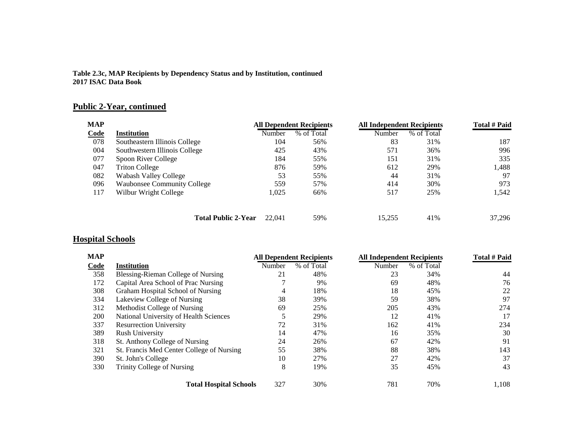### **Public 2-Year, continued**

| <b>MAP</b> |                                    |        | <b>All Dependent Recipients</b> |        | <b>All Independent Recipients</b> |        |  |
|------------|------------------------------------|--------|---------------------------------|--------|-----------------------------------|--------|--|
| Code       | <b>Institution</b>                 | Number | % of Total                      | Number | % of Total                        |        |  |
| 078        | Southeastern Illinois College      | 104    | 56%                             | 83     | 31%                               | 187    |  |
| 004        | Southwestern Illinois College      | 425    | 43%                             | 571    | 36%                               | 996    |  |
| 077        | Spoon River College                | 184    | 55%                             | 151    | 31%                               | 335    |  |
| 047        | <b>Triton College</b>              | 876    | 59%                             | 612    | 29%                               | 1,488  |  |
| 082        | Wabash Valley College              | 53     | 55%                             | 44     | 31%                               | 97     |  |
| 096        | <b>Waubonsee Community College</b> | 559    | 57%                             | 414    | 30%                               | 973    |  |
| 117        | Wilbur Wright College              | 1,025  | 66%                             | 517    | 25%                               | 1,542  |  |
|            | <b>Total Public 2-Year</b>         | 22,041 | 59%                             | 15.255 | 41%                               | 37.296 |  |

### **Hospital Schools**

| <b>MAP</b> |                                           | <b>All Dependent Recipients</b> |            | <b>All Independent Recipients</b> |            | Total # Paid |
|------------|-------------------------------------------|---------------------------------|------------|-----------------------------------|------------|--------------|
| Code       | <b>Institution</b>                        | Number                          | % of Total | Number                            | % of Total |              |
| 358        | Blessing-Rieman College of Nursing        | 21                              | 48%        | 23                                | 34%        | 44           |
| 172        | Capital Area School of Prac Nursing       |                                 | 9%         | 69                                | 48%        | 76           |
| 308        | Graham Hospital School of Nursing         | 4                               | 18%        | 18                                | 45%        | 22           |
| 334        | Lakeview College of Nursing               | 38                              | 39%        | 59                                | 38%        | 97           |
| 312        | Methodist College of Nursing              | 69                              | 25%        | 205                               | 43%        | 274          |
| 200        | National University of Health Sciences    | 5                               | 29%        | 12                                | 41%        | 17           |
| 337        | <b>Resurrection University</b>            | 72                              | 31%        | 162                               | 41%        | 234          |
| 389        | <b>Rush University</b>                    | 14                              | 47%        | 16                                | 35%        | 30           |
| 318        | St. Anthony College of Nursing            | 24                              | 26%        | 67                                | 42%        | 91           |
| 321        | St. Francis Med Center College of Nursing | 55                              | 38%        | 88                                | 38%        | 143          |
| 390        | St. John's College                        | 10                              | 27%        | 27                                | 42%        | 37           |
| 330        | Trinity College of Nursing                | 8                               | 19%        | 35                                | 45%        | 43           |
|            | <b>Total Hospital Schools</b>             | 327                             | 30%        | 781                               | 70%        | 1,108        |